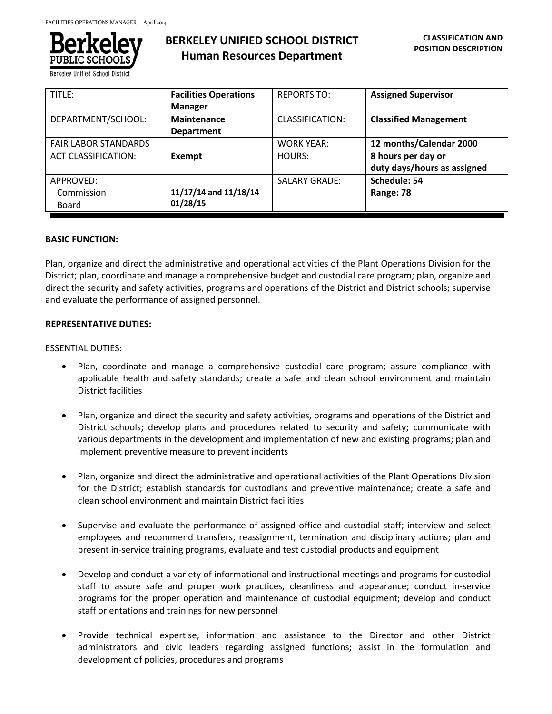

**Berkeley Unified School Distric** 

# **BERKELEY UNIFIED SCHOOL DISTRICT Human Resources Department**

| TITLE:                      | <b>Facilities Operations</b> | <b>REPORTS TO:</b>   | <b>Assigned Supervisor</b>   |
|-----------------------------|------------------------------|----------------------|------------------------------|
|                             | <b>Manager</b>               |                      |                              |
| DEPARTMENT/SCHOOL:          | <b>Maintenance</b>           | CLASSIFICATION:      | <b>Classified Management</b> |
|                             | <b>Department</b>            |                      |                              |
| <b>FAIR LABOR STANDARDS</b> |                              | <b>WORK YEAR:</b>    | 12 months/Calendar 2000      |
| <b>ACT CLASSIFICATION:</b>  | Exempt                       | HOURS:               | 8 hours per day or           |
|                             |                              |                      | duty days/hours as assigned  |
| APPROVED:                   |                              | <b>SALARY GRADE:</b> | Schedule: 54                 |
| Commission                  | 11/17/14 and 11/18/14        |                      | Range: 78                    |
| Board                       | 01/28/15                     |                      |                              |

# **BASIC FUNCTION:**

Plan, organize and direct the administrative and operational activities of the Plant Operations Division for the District; plan, coordinate and manage a comprehensive budget and custodial care program; plan, organize and direct the security and safety activities, programs and operations of the District and District schools; supervise and evaluate the performance of assigned personnel.

## **REPRESENTATIVE DUTIES:**

## ESSENTIAL DUTIES:

- Plan, coordinate and manage a comprehensive custodial care program; assure compliance with applicable health and safety standards; create a safe and clean school environment and maintain District facilities
- Plan, organize and direct the security and safety activities, programs and operations of the District and District schools; develop plans and procedures related to security and safety; communicate with various departments in the development and implementation of new and existing programs; plan and implement preventive measure to prevent incidents
- Plan, organize and direct the administrative and operational activities of the Plant Operations Division for the District; establish standards for custodians and preventive maintenance; create a safe and clean school environment and maintain District facilities
- Supervise and evaluate the performance of assigned office and custodial staff; interview and select employees and recommend transfers, reassignment, termination and disciplinary actions; plan and present in-service training programs, evaluate and test custodial products and equipment
- Develop and conduct a variety of informational and instructional meetings and programs for custodial staff to assure safe and proper work practices, cleanliness and appearance; conduct in-service programs for the proper operation and maintenance of custodial equipment; develop and conduct staff orientations and trainings for new personnel
- Provide technical expertise, information and assistance to the Director and other District administrators and civic leaders regarding assigned functions; assist in the formulation and development of policies, procedures and programs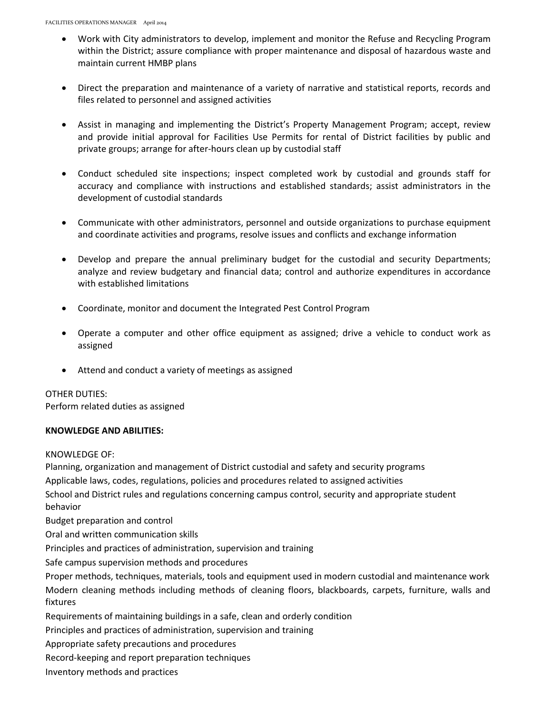- Work with City administrators to develop, implement and monitor the Refuse and Recycling Program within the District; assure compliance with proper maintenance and disposal of hazardous waste and maintain current HMBP plans
- Direct the preparation and maintenance of a variety of narrative and statistical reports, records and files related to personnel and assigned activities
- Assist in managing and implementing the District's Property Management Program; accept, review and provide initial approval for Facilities Use Permits for rental of District facilities by public and private groups; arrange for after-hours clean up by custodial staff
- Conduct scheduled site inspections; inspect completed work by custodial and grounds staff for accuracy and compliance with instructions and established standards; assist administrators in the development of custodial standards
- Communicate with other administrators, personnel and outside organizations to purchase equipment and coordinate activities and programs, resolve issues and conflicts and exchange information
- Develop and prepare the annual preliminary budget for the custodial and security Departments; analyze and review budgetary and financial data; control and authorize expenditures in accordance with established limitations
- Coordinate, monitor and document the Integrated Pest Control Program
- Operate a computer and other office equipment as assigned; drive a vehicle to conduct work as assigned
- Attend and conduct a variety of meetings as assigned

# OTHER DUTIES:

Perform related duties as assigned

# **KNOWLEDGE AND ABILITIES:**

#### KNOWLEDGE OF:

Planning, organization and management of District custodial and safety and security programs Applicable laws, codes, regulations, policies and procedures related to assigned activities

School and District rules and regulations concerning campus control, security and appropriate student behavior

Budget preparation and control

Oral and written communication skills

Principles and practices of administration, supervision and training

Safe campus supervision methods and procedures

Proper methods, techniques, materials, tools and equipment used in modern custodial and maintenance work Modern cleaning methods including methods of cleaning floors, blackboards, carpets, furniture, walls and fixtures

Requirements of maintaining buildings in a safe, clean and orderly condition

Principles and practices of administration, supervision and training

Appropriate safety precautions and procedures

Record-keeping and report preparation techniques

Inventory methods and practices